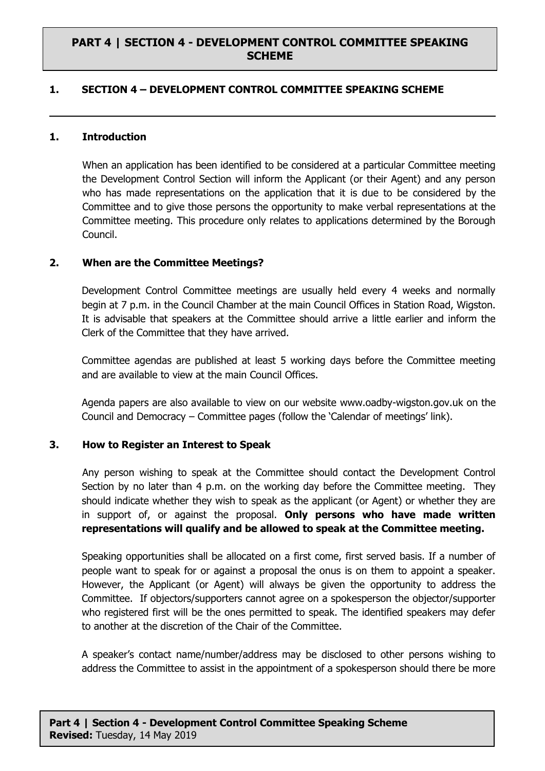## **PART 4 | SECTION 4 - DEVELOPMENT CONTROL COMMITTEE SPEAKING SCHEME**

### **1. SECTION 4 – DEVELOPMENT CONTROL COMMITTEE SPEAKING SCHEME**

#### **1. Introduction**

When an application has been identified to be considered at a particular Committee meeting the Development Control Section will inform the Applicant (or their Agent) and any person who has made representations on the application that it is due to be considered by the Committee and to give those persons the opportunity to make verbal representations at the Committee meeting. This procedure only relates to applications determined by the Borough Council.

#### **2. When are the Committee Meetings?**

Development Control Committee meetings are usually held every 4 weeks and normally begin at 7 p.m. in the Council Chamber at the main Council Offices in Station Road, Wigston. It is advisable that speakers at the Committee should arrive a little earlier and inform the Clerk of the Committee that they have arrived.

Committee agendas are published at least 5 working days before the Committee meeting and are available to view at the main Council Offices.

Agenda papers are also available to view on our website www.oadby-wigston.gov.uk on the Council and Democracy – Committee pages (follow the 'Calendar of meetings' link).

### **3. How to Register an Interest to Speak**

Any person wishing to speak at the Committee should contact the Development Control Section by no later than 4 p.m. on the working day before the Committee meeting. They should indicate whether they wish to speak as the applicant (or Agent) or whether they are in support of, or against the proposal. **Only persons who have made written representations will qualify and be allowed to speak at the Committee meeting.**

Speaking opportunities shall be allocated on a first come, first served basis. If a number of people want to speak for or against a proposal the onus is on them to appoint a speaker. However, the Applicant (or Agent) will always be given the opportunity to address the Committee. If objectors/supporters cannot agree on a spokesperson the objector/supporter who registered first will be the ones permitted to speak. The identified speakers may defer to another at the discretion of the Chair of the Committee.

A speaker's contact name/number/address may be disclosed to other persons wishing to address the Committee to assist in the appointment of a spokesperson should there be more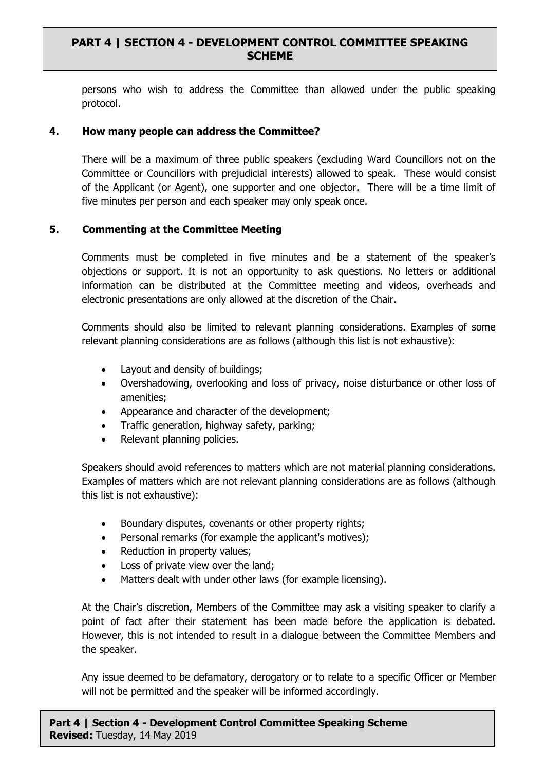persons who wish to address the Committee than allowed under the public speaking protocol.

### **4. How many people can address the Committee?**

There will be a maximum of three public speakers (excluding Ward Councillors not on the Committee or Councillors with prejudicial interests) allowed to speak. These would consist of the Applicant (or Agent), one supporter and one objector. There will be a time limit of five minutes per person and each speaker may only speak once.

## **5. Commenting at the Committee Meeting**

Comments must be completed in five minutes and be a statement of the speaker's objections or support. It is not an opportunity to ask questions. No letters or additional information can be distributed at the Committee meeting and videos, overheads and electronic presentations are only allowed at the discretion of the Chair.

Comments should also be limited to relevant planning considerations. Examples of some relevant planning considerations are as follows (although this list is not exhaustive):

- Layout and density of buildings;
- Overshadowing, overlooking and loss of privacy, noise disturbance or other loss of amenities;
- Appearance and character of the development;
- Traffic generation, highway safety, parking;
- Relevant planning policies.

Speakers should avoid references to matters which are not material planning considerations. Examples of matters which are not relevant planning considerations are as follows (although this list is not exhaustive):

- Boundary disputes, covenants or other property rights;
- Personal remarks (for example the applicant's motives);
- Reduction in property values;
- Loss of private view over the land;
- Matters dealt with under other laws (for example licensing).

At the Chair's discretion, Members of the Committee may ask a visiting speaker to clarify a point of fact after their statement has been made before the application is debated. However, this is not intended to result in a dialogue between the Committee Members and the speaker.

Any issue deemed to be defamatory, derogatory or to relate to a specific Officer or Member will not be permitted and the speaker will be informed accordingly.